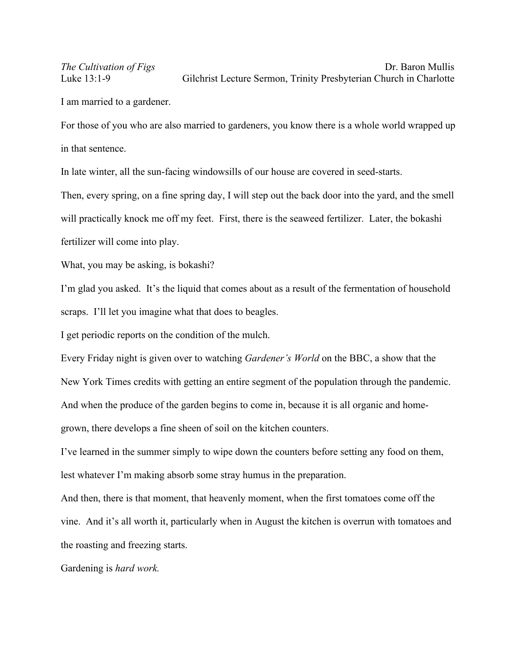## *The Cultivation of Figs* Dr. Baron Mullis Luke 13:1-9 Gilchrist Lecture Sermon, Trinity Presbyterian Church in Charlotte

I am married to a gardener.

For those of you who are also married to gardeners, you know there is a whole world wrapped up in that sentence.

In late winter, all the sun-facing windowsills of our house are covered in seed-starts.

Then, every spring, on a fine spring day, I will step out the back door into the yard, and the smell will practically knock me off my feet. First, there is the seaweed fertilizer. Later, the bokashi fertilizer will come into play.

What, you may be asking, is bokashi?

I'm glad you asked. It's the liquid that comes about as a result of the fermentation of household scraps. I'll let you imagine what that does to beagles.

I get periodic reports on the condition of the mulch.

Every Friday night is given over to watching *Gardener's World* on the BBC, a show that the New York Times credits with getting an entire segment of the population through the pandemic. And when the produce of the garden begins to come in, because it is all organic and homegrown, there develops a fine sheen of soil on the kitchen counters.

I've learned in the summer simply to wipe down the counters before setting any food on them, lest whatever I'm making absorb some stray humus in the preparation.

And then, there is that moment, that heavenly moment, when the first tomatoes come off the vine. And it's all worth it, particularly when in August the kitchen is overrun with tomatoes and the roasting and freezing starts.

Gardening is *hard work.*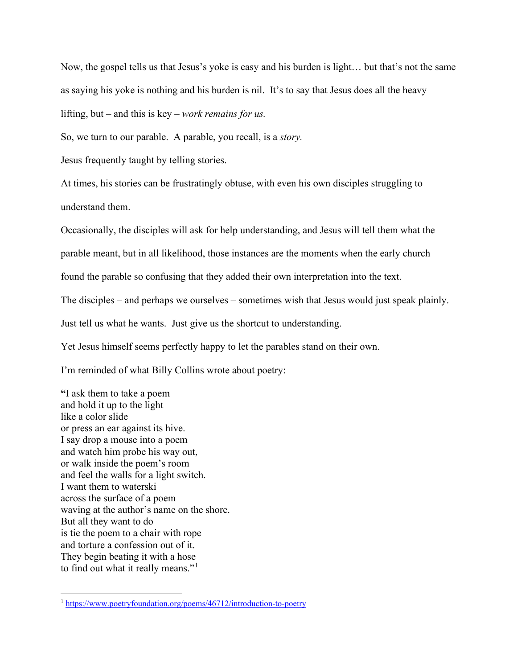Now, the gospel tells us that Jesus's yoke is easy and his burden is light… but that's not the same as saying his yoke is nothing and his burden is nil. It's to say that Jesus does all the heavy lifting, but – and this is key – *work remains for us.*

So, we turn to our parable. A parable, you recall, is a *story.* 

Jesus frequently taught by telling stories.

At times, his stories can be frustratingly obtuse, with even his own disciples struggling to understand them.

Occasionally, the disciples will ask for help understanding, and Jesus will tell them what the

parable meant, but in all likelihood, those instances are the moments when the early church

found the parable so confusing that they added their own interpretation into the text.

The disciples – and perhaps we ourselves – sometimes wish that Jesus would just speak plainly.

Just tell us what he wants. Just give us the shortcut to understanding.

Yet Jesus himself seems perfectly happy to let the parables stand on their own.

I'm reminded of what Billy Collins wrote about poetry:

**"**I ask them to take a poem and hold it up to the light like a color slide or press an ear against its hive. I say drop a mouse into a poem and watch him probe his way out, or walk inside the poem's room and feel the walls for a light switch. I want them to waterski across the surface of a poem waving at the author's name on the shore. But all they want to do is tie the poem to a chair with rope and torture a confession out of it. They begin beating it with a hose to find out what it really means."<sup>[1](#page-1-0)</sup>

<span id="page-1-0"></span><sup>1</sup> <https://www.poetryfoundation.org/poems/46712/introduction-to-poetry>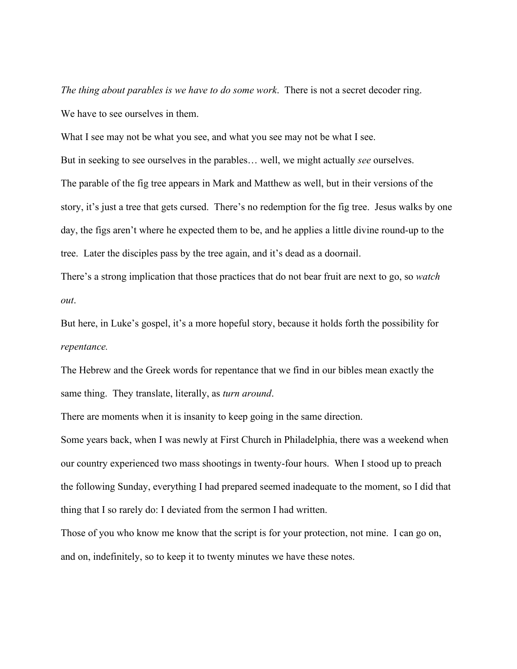*The thing about parables is we have to do some work*. There is not a secret decoder ring. We have to see ourselves in them.

What I see may not be what you see, and what you see may not be what I see.

But in seeking to see ourselves in the parables… well, we might actually *see* ourselves. The parable of the fig tree appears in Mark and Matthew as well, but in their versions of the story, it's just a tree that gets cursed. There's no redemption for the fig tree. Jesus walks by one day, the figs aren't where he expected them to be, and he applies a little divine round-up to the tree. Later the disciples pass by the tree again, and it's dead as a doornail.

There's a strong implication that those practices that do not bear fruit are next to go, so *watch out*.

But here, in Luke's gospel, it's a more hopeful story, because it holds forth the possibility for *repentance.* 

The Hebrew and the Greek words for repentance that we find in our bibles mean exactly the same thing. They translate, literally, as *turn around*.

There are moments when it is insanity to keep going in the same direction.

Some years back, when I was newly at First Church in Philadelphia, there was a weekend when our country experienced two mass shootings in twenty-four hours. When I stood up to preach the following Sunday, everything I had prepared seemed inadequate to the moment, so I did that thing that I so rarely do: I deviated from the sermon I had written.

Those of you who know me know that the script is for your protection, not mine. I can go on, and on, indefinitely, so to keep it to twenty minutes we have these notes.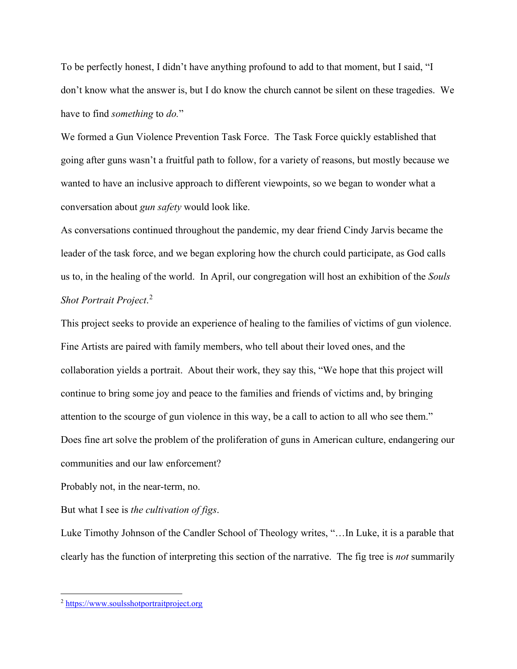To be perfectly honest, I didn't have anything profound to add to that moment, but I said, "I don't know what the answer is, but I do know the church cannot be silent on these tragedies. We have to find *something* to *do.*"

We formed a Gun Violence Prevention Task Force. The Task Force quickly established that going after guns wasn't a fruitful path to follow, for a variety of reasons, but mostly because we wanted to have an inclusive approach to different viewpoints, so we began to wonder what a conversation about *gun safety* would look like.

As conversations continued throughout the pandemic, my dear friend Cindy Jarvis became the leader of the task force, and we began exploring how the church could participate, as God calls us to, in the healing of the world. In April, our congregation will host an exhibition of the *Souls Shot Portrait Project*. [2](#page-3-0)

This project seeks to provide an experience of healing to the families of victims of gun violence. Fine Artists are paired with family members, who tell about their loved ones, and the collaboration yields a portrait. About their work, they say this, "We hope that this project will continue to bring some joy and peace to the families and friends of victims and, by bringing attention to the scourge of gun violence in this way, be a call to action to all who see them." Does fine art solve the problem of the proliferation of guns in American culture, endangering our communities and our law enforcement?

Probably not, in the near-term, no.

But what I see is *the cultivation of figs*.

Luke Timothy Johnson of the Candler School of Theology writes, "…In Luke, it is a parable that clearly has the function of interpreting this section of the narrative. The fig tree is *not* summarily

<span id="page-3-0"></span><sup>2</sup> [https://www.soulsshotportraitproject.org](https://www.soulsshotportraitproject.org/)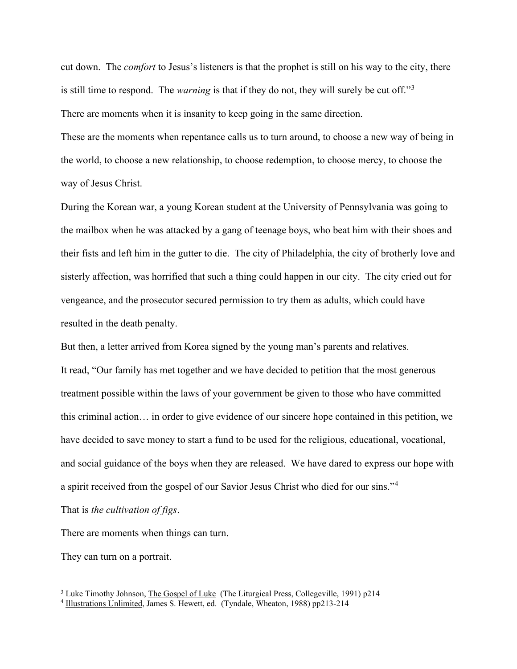cut down. The *comfort* to Jesus's listeners is that the prophet is still on his way to the city, there is still time to respond. The *warning* is that if they do not, they will surely be cut off."[3](#page-4-0) There are moments when it is insanity to keep going in the same direction.

These are the moments when repentance calls us to turn around, to choose a new way of being in the world, to choose a new relationship, to choose redemption, to choose mercy, to choose the way of Jesus Christ.

During the Korean war, a young Korean student at the University of Pennsylvania was going to the mailbox when he was attacked by a gang of teenage boys, who beat him with their shoes and their fists and left him in the gutter to die. The city of Philadelphia, the city of brotherly love and sisterly affection, was horrified that such a thing could happen in our city. The city cried out for vengeance, and the prosecutor secured permission to try them as adults, which could have resulted in the death penalty.

But then, a letter arrived from Korea signed by the young man's parents and relatives. It read, "Our family has met together and we have decided to petition that the most generous treatment possible within the laws of your government be given to those who have committed this criminal action… in order to give evidence of our sincere hope contained in this petition, we have decided to save money to start a fund to be used for the religious, educational, vocational, and social guidance of the boys when they are released. We have dared to express our hope with a spirit received from the gospel of our Savior Jesus Christ who died for our sins."[4](#page-4-1)

That is *the cultivation of figs*.

There are moments when things can turn.

They can turn on a portrait.

<span id="page-4-0"></span><sup>&</sup>lt;sup>3</sup> Luke Timothy Johnson, The Gospel of Luke (The Liturgical Press, Collegeville, 1991) p214

<span id="page-4-1"></span><sup>4</sup> Illustrations Unlimited, James S. Hewett, ed. (Tyndale, Wheaton, 1988) pp213-214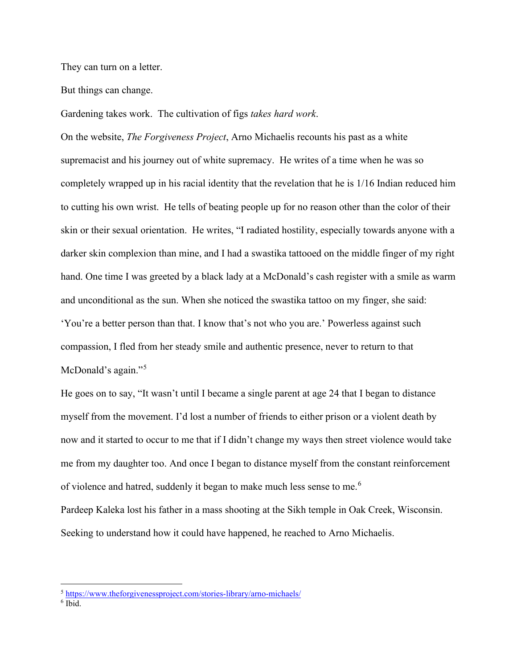They can turn on a letter.

But things can change.

Gardening takes work. The cultivation of figs *takes hard work*.

On the website, *The Forgiveness Project*, Arno Michaelis recounts his past as a white supremacist and his journey out of white supremacy. He writes of a time when he was so completely wrapped up in his racial identity that the revelation that he is 1/16 Indian reduced him to cutting his own wrist. He tells of beating people up for no reason other than the color of their skin or their sexual orientation. He writes, "I radiated hostility, especially towards anyone with a darker skin complexion than mine, and I had a swastika tattooed on the middle finger of my right hand. One time I was greeted by a black lady at a McDonald's cash register with a smile as warm and unconditional as the sun. When she noticed the swastika tattoo on my finger, she said: 'You're a better person than that. I know that's not who you are.' Powerless against such compassion, I fled from her steady smile and authentic presence, never to return to that McDonald's again."<sup>[5](#page-5-0)</sup>

He goes on to say, "It wasn't until I became a single parent at age 24 that I began to distance myself from the movement. I'd lost a number of friends to either prison or a violent death by now and it started to occur to me that if I didn't change my ways then street violence would take me from my daughter too. And once I began to distance myself from the constant reinforcement of violence and hatred, suddenly it began to make much less sense to me.<sup>[6](#page-5-1)</sup> Pardeep Kaleka lost his father in a mass shooting at the Sikh temple in Oak Creek, Wisconsin. Seeking to understand how it could have happened, he reached to Arno Michaelis.

<span id="page-5-0"></span><sup>5</sup> <https://www.theforgivenessproject.com/stories-library/arno-michaels/>

<span id="page-5-1"></span> $6$  Ibid.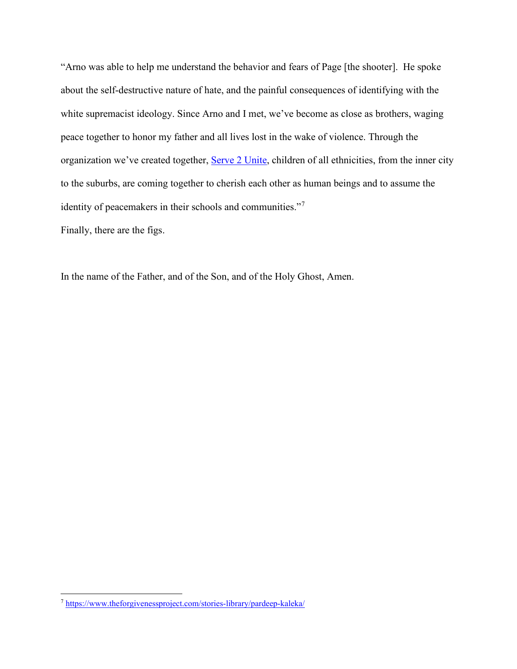"Arno was able to help me understand the behavior and fears of Page [the shooter]. He spoke about the self-destructive nature of hate, and the painful consequences of identifying with the white supremacist ideology. Since Arno and I met, we've become as close as brothers, waging peace together to honor my father and all lives lost in the wake of violence. Through the organization we've created together, [Serve 2 Unite,](http://serve2unite.org/) children of all ethnicities, from the inner city to the suburbs, are coming together to cherish each other as human beings and to assume the identity of peacemakers in their schools and communities."<sup>[7](#page-6-0)</sup>

Finally, there are the figs.

In the name of the Father, and of the Son, and of the Holy Ghost, Amen.

<span id="page-6-0"></span><sup>7</sup> <https://www.theforgivenessproject.com/stories-library/pardeep-kaleka/>